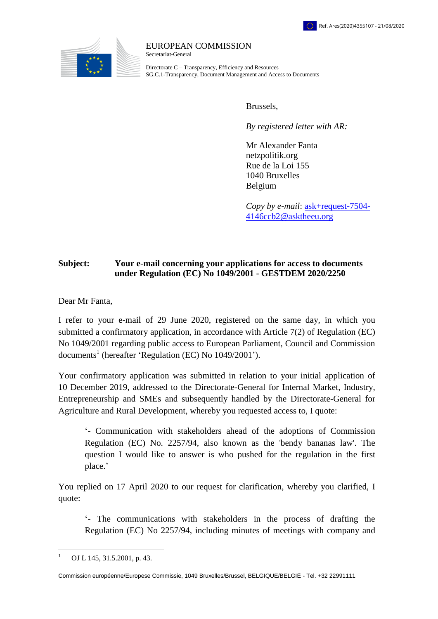

## EUROPEAN COMMISSION Secretariat-General

Directorate C – Transparency, Efficiency and Resources SG.C.1-Transparency, Document Management and Access to Documents

Brussels,

*By registered letter with AR:*

Mr Alexander Fanta netzpolitik.org Rue de la Loi 155 1040 Bruxelles Belgium

*Copy by e-mail*: [ask+request-7504-](file://net1.cec.eu.int/SG/SG-C-1/Accès%20Doc/02_DEMANDES%20CONFIRMATIVES%20-%20CAS/2020/Réponses%20et%20consultations/Letters/LASAUSKAS%202020-2444/xxxxxxxxxxxxxxxxxxxxxxxxx@xxxxxxxx.xxx) [4146ccb2@asktheeu.org](file://net1.cec.eu.int/SG/SG-C-1/Accès%20Doc/02_DEMANDES%20CONFIRMATIVES%20-%20CAS/2020/Réponses%20et%20consultations/Letters/LASAUSKAS%202020-2444/xxxxxxxxxxxxxxxxxxxxxxxxx@xxxxxxxx.xxx)

## **Subject: Your e-mail concerning your applications for access to documents under Regulation (EC) No 1049/2001 - GESTDEM 2020/2250**

Dear Mr Fanta,

I refer to your e-mail of 29 June 2020, registered on the same day, in which you submitted a confirmatory application, in accordance with Article 7(2) of Regulation (EC) No 1049/2001 regarding public access to European Parliament, Council and Commission documents<sup>1</sup> (hereafter 'Regulation (EC) No  $1049/2001$ ').

Your confirmatory application was submitted in relation to your initial application of 10 December 2019, addressed to the Directorate-General for Internal Market, Industry, Entrepreneurship and SMEs and subsequently handled by the Directorate-General for Agriculture and Rural Development, whereby you requested access to, I quote:

'- Communication with stakeholders ahead of the adoptions of Commission Regulation (EC) No. 2257/94, also known as the 'bendy bananas law'. The question I would like to answer is who pushed for the regulation in the first place.'

You replied on 17 April 2020 to our request for clarification, whereby you clarified, I quote:

'- The communications with stakeholders in the process of drafting the Regulation (EC) No 2257/94, including minutes of meetings with company and

 $\overline{a}$ 1 OJ L 145, 31.5.2001, p. 43.

Commission européenne/Europese Commissie, 1049 Bruxelles/Brussel, BELGIQUE/BELGIË - Tel. +32 22991111